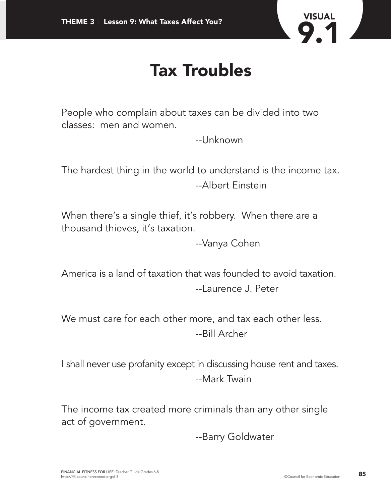

#### **Tax Troubles**

People who complain about taxes can be divided into two classes: men and women.

--Unknown

The hardest thing in the world to understand is the income tax. --Albert Einstein

When there's a single thief, it's robbery. When there are a thousand thieves, it's taxation.

--Vanya Cohen

America is a land of taxation that was founded to avoid taxation. --Laurence J. Peter

We must care for each other more, and tax each other less. --Bill Archer

I shall never use profanity except in discussing house rent and taxes. --Mark Twain

The income tax created more criminals than any other single act of government.

--Barry Goldwater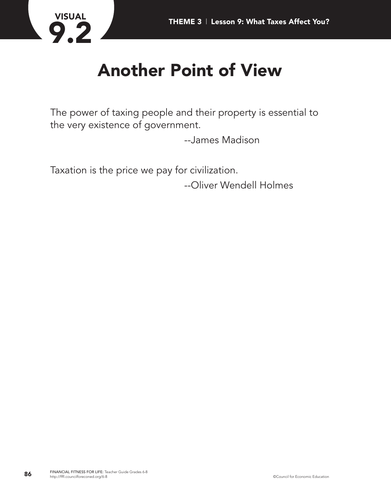

## **Another Point of View**

The power of taxing people and their property is essential to the very existence of government.

--James Madison

Taxation is the price we pay for civilization.

--Oliver Wendell Holmes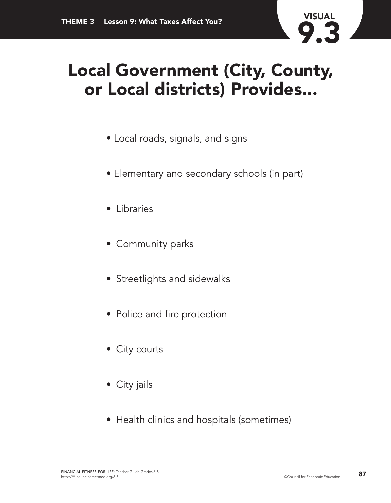

#### **Local Government (City, County, or Local districts) Provides...**

- Local roads, signals, and signs
- Elementary and secondary schools (in part)
- Libraries
- Community parks
- Streetlights and sidewalks
- Police and fire protection
- City courts
- City jails
- Health clinics and hospitals (sometimes)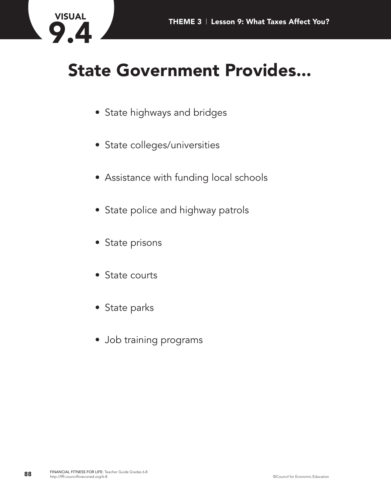

## **State Government Provides...**

- State highways and bridges
- State colleges/universities
- Assistance with funding local schools
- State police and highway patrols
- State prisons
- State courts
- State parks
- Job training programs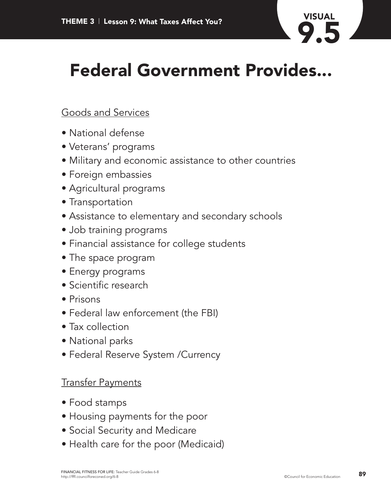

## **Federal Government Provides...**

#### Goods and Services

- National defense
- Veterans' programs
- Military and economic assistance to other countries
- Foreign embassies
- Agricultural programs
- Transportation
- Assistance to elementary and secondary schools
- Job training programs
- Financial assistance for college students
- The space program
- Energy programs
- Scientific research
- Prisons
- Federal law enforcement (the FBI)
- Tax collection
- National parks
- Federal Reserve System /Currency

#### Transfer Payments

- Food stamps
- Housing payments for the poor
- Social Security and Medicare
- Health care for the poor (Medicaid)